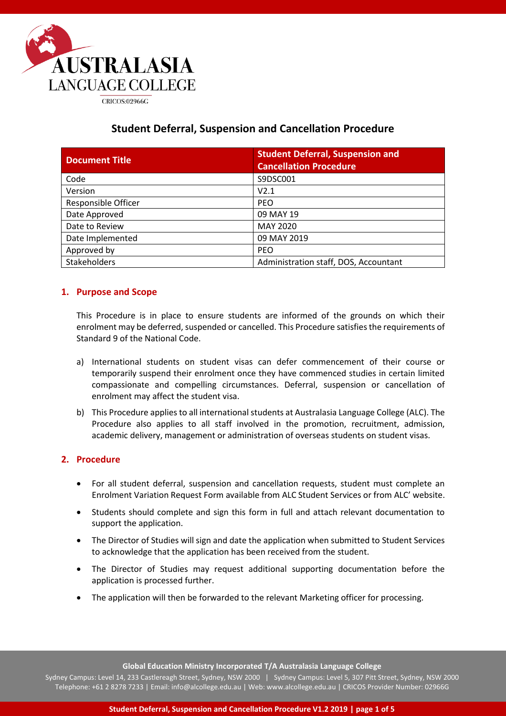

# **Student Deferral, Suspension and Cancellation Procedure**

| <b>Document Title</b>      | <b>Student Deferral, Suspension and</b><br><b>Cancellation Procedure</b> |
|----------------------------|--------------------------------------------------------------------------|
| Code                       | S9DSC001                                                                 |
| Version                    | V2.1                                                                     |
| <b>Responsible Officer</b> | <b>PEO</b>                                                               |
| Date Approved              | 09 MAY 19                                                                |
| Date to Review             | <b>MAY 2020</b>                                                          |
| Date Implemented           | 09 MAY 2019                                                              |
| Approved by                | <b>PEO</b>                                                               |
| <b>Stakeholders</b>        | Administration staff, DOS, Accountant                                    |

## **1. Purpose and Scope**

This Procedure is in place to ensure students are informed of the grounds on which their enrolment may be deferred, suspended or cancelled. This Procedure satisfies the requirements of Standard 9 of the National Code.

- a) International students on student visas can defer commencement of their course or temporarily suspend their enrolment once they have commenced studies in certain limited compassionate and compelling circumstances. Deferral, suspension or cancellation of enrolment may affect the student visa.
- b) This Procedure applies to all international students at Australasia Language College (ALC). The Procedure also applies to all staff involved in the promotion, recruitment, admission, academic delivery, management or administration of overseas students on student visas.

### **2. Procedure**

- For all student deferral, suspension and cancellation requests, student must complete an Enrolment Variation Request Form available from ALC Student Services or from ALC' website.
- Students should complete and sign this form in full and attach relevant documentation to support the application.
- The Director of Studies will sign and date the application when submitted to Student Services to acknowledge that the application has been received from the student.
- The Director of Studies may request additional supporting documentation before the application is processed further.
- The application will then be forwarded to the relevant Marketing officer for processing.

**Global Education Ministry Incorporated T/A Australasia Language College**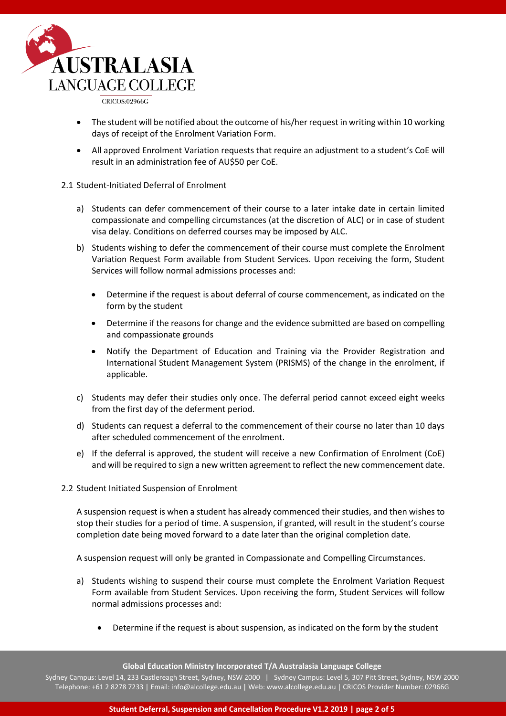

- The student will be notified about the outcome of his/her request in writing within 10 working days of receipt of the Enrolment Variation Form.
- All approved Enrolment Variation requests that require an adjustment to a student's CoE will result in an administration fee of AU\$50 per CoE.

#### 2.1 Student-Initiated Deferral of Enrolment

- a) Students can defer commencement of their course to a later intake date in certain limited compassionate and compelling circumstances (at the discretion of ALC) or in case of student visa delay. Conditions on deferred courses may be imposed by ALC.
- b) Students wishing to defer the commencement of their course must complete the Enrolment Variation Request Form available from Student Services. Upon receiving the form, Student Services will follow normal admissions processes and:
	- Determine if the request is about deferral of course commencement, as indicated on the form by the student
	- Determine if the reasons for change and the evidence submitted are based on compelling and compassionate grounds
	- Notify the Department of Education and Training via the Provider Registration and International Student Management System (PRISMS) of the change in the enrolment, if applicable.
- c) Students may defer their studies only once. The deferral period cannot exceed eight weeks from the first day of the deferment period.
- d) Students can request a deferral to the commencement of their course no later than 10 days after scheduled commencement of the enrolment.
- e) If the deferral is approved, the student will receive a new Confirmation of Enrolment (CoE) and will be required to sign a new written agreement to reflect the new commencement date.
- 2.2 Student Initiated Suspension of Enrolment

A suspension request is when a student has already commenced their studies, and then wishes to stop their studies for a period of time. A suspension, if granted, will result in the student's course completion date being moved forward to a date later than the original completion date.

A suspension request will only be granted in Compassionate and Compelling Circumstances.

- a) Students wishing to suspend their course must complete the Enrolment Variation Request Form available from Student Services. Upon receiving the form, Student Services will follow normal admissions processes and:
	- Determine if the request is about suspension, as indicated on the form by the student

**Global Education Ministry Incorporated T/A Australasia Language College**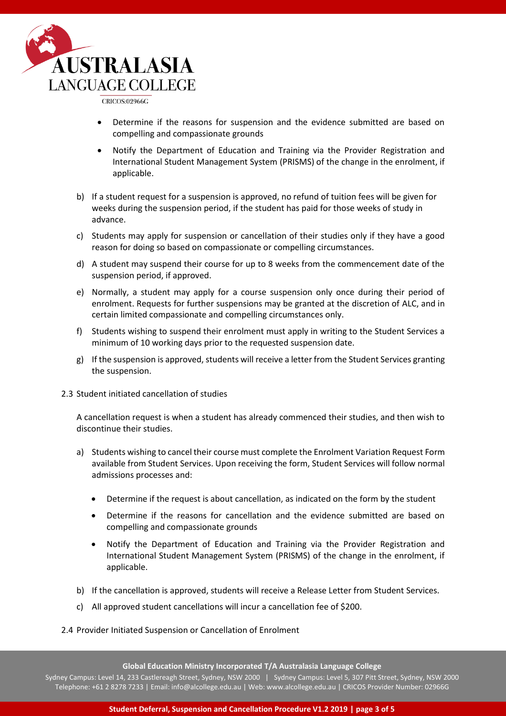

- Determine if the reasons for suspension and the evidence submitted are based on compelling and compassionate grounds
- Notify the Department of Education and Training via the Provider Registration and International Student Management System (PRISMS) of the change in the enrolment, if applicable.
- b) If a student request for a suspension is approved, no refund of tuition fees will be given for weeks during the suspension period, if the student has paid for those weeks of study in advance.
- c) Students may apply for suspension or cancellation of their studies only if they have a good reason for doing so based on compassionate or compelling circumstances.
- d) A student may suspend their course for up to 8 weeks from the commencement date of the suspension period, if approved.
- e) Normally, a student may apply for a course suspension only once during their period of enrolment. Requests for further suspensions may be granted at the discretion of ALC, and in certain limited compassionate and compelling circumstances only.
- f) Students wishing to suspend their enrolment must apply in writing to the Student Services a minimum of 10 working days prior to the requested suspension date.
- g) If the suspension is approved, students will receive a letter from the Student Services granting the suspension.
- 2.3 Student initiated cancellation of studies

A cancellation request is when a student has already commenced their studies, and then wish to discontinue their studies.

- a) Students wishing to cancel their course must complete the Enrolment Variation Request Form available from Student Services. Upon receiving the form, Student Services will follow normal admissions processes and:
	- Determine if the request is about cancellation, as indicated on the form by the student
	- Determine if the reasons for cancellation and the evidence submitted are based on compelling and compassionate grounds
	- Notify the Department of Education and Training via the Provider Registration and International Student Management System (PRISMS) of the change in the enrolment, if applicable.
- b) If the cancellation is approved, students will receive a Release Letter from Student Services.
- c) All approved student cancellations will incur a cancellation fee of \$200.

### 2.4 Provider Initiated Suspension or Cancellation of Enrolment

**Global Education Ministry Incorporated T/A Australasia Language College**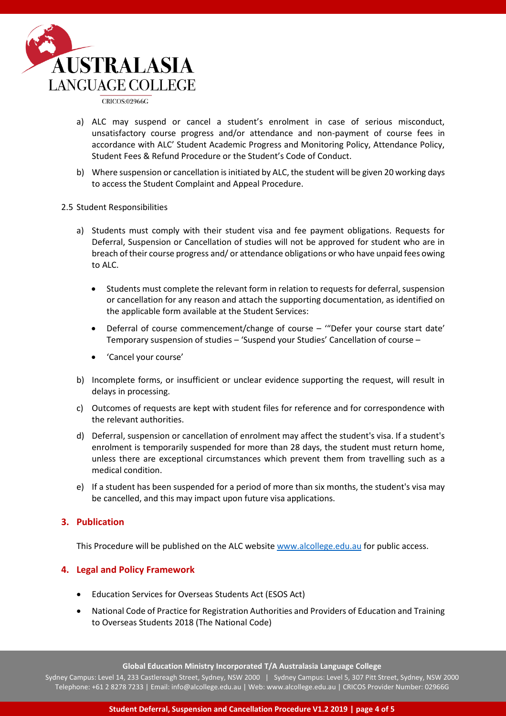

- a) ALC may suspend or cancel a student's enrolment in case of serious misconduct, unsatisfactory course progress and/or attendance and non-payment of course fees in accordance with ALC' Student Academic Progress and Monitoring Policy, Attendance Policy, Student Fees & Refund Procedure or the Student's Code of Conduct.
- b) Where suspension or cancellation is initiated by ALC, the student will be given 20 working days to access the Student Complaint and Appeal Procedure.

#### 2.5 Student Responsibilities

- a) Students must comply with their student visa and fee payment obligations. Requests for Deferral, Suspension or Cancellation of studies will not be approved for student who are in breach of their course progress and/ or attendance obligations or who have unpaid fees owing to ALC.
	- Students must complete the relevant form in relation to requests for deferral, suspension or cancellation for any reason and attach the supporting documentation, as identified on the applicable form available at the Student Services:
	- Deferral of course commencement/change of course '"Defer your course start date' Temporary suspension of studies – 'Suspend your Studies' Cancellation of course –
	- 'Cancel your course'
- b) Incomplete forms, or insufficient or unclear evidence supporting the request, will result in delays in processing.
- c) Outcomes of requests are kept with student files for reference and for correspondence with the relevant authorities.
- d) Deferral, suspension or cancellation of enrolment may affect the student's visa. If a student's enrolment is temporarily suspended for more than 28 days, the student must return home, unless there are exceptional circumstances which prevent them from travelling such as a medical condition.
- e) If a student has been suspended for a period of more than six months, the student's visa may be cancelled, and this may impact upon future visa applications.

### **3. Publication**

This Procedure will be published on the ALC websit[e www.alcollege.edu.au](http://www.alcollege.edu.au/) for public access.

### **4. Legal and Policy Framework**

- Education Services for Overseas Students Act (ESOS Act)
- National Code of Practice for Registration Authorities and Providers of Education and Training to Overseas Students 2018 (The National Code)

**Global Education Ministry Incorporated T/A Australasia Language College**